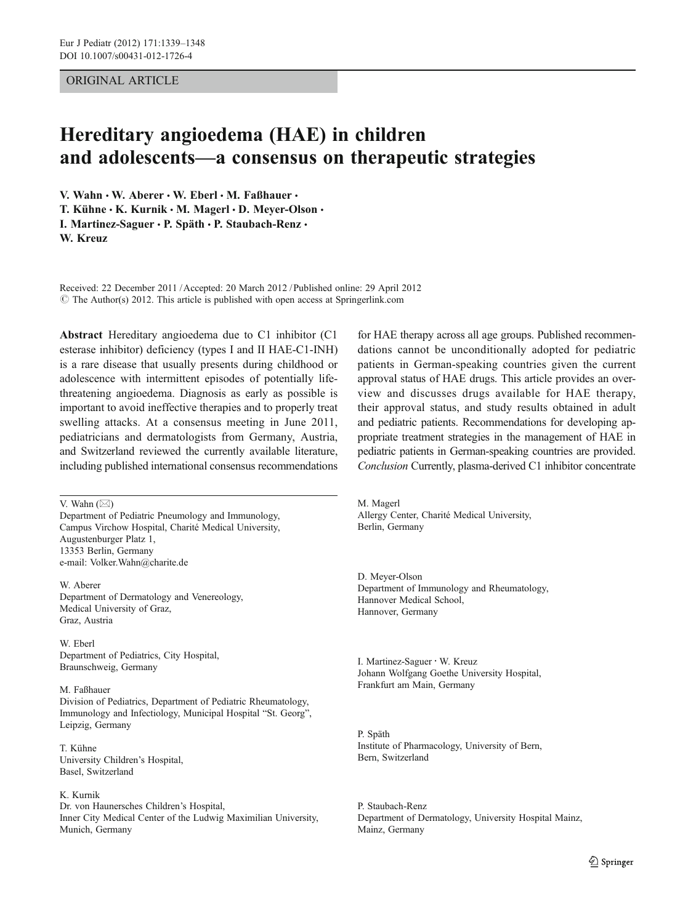# ORIGINAL ARTICLE

# Hereditary angioedema (HAE) in children and adolescents—a consensus on therapeutic strategies

V. Wahn · W. Aberer · W. Eberl · M. Faßhauer · T. Kühne · K. Kurnik · M. Magerl · D. Meyer-Olson · I. Martinez-Saguer · P. Späth · P. Staubach-Renz · W. Kreuz

Received: 22 December 2011 /Accepted: 20 March 2012 / Published online: 29 April 2012  $\odot$  The Author(s) 2012. This article is published with open access at Springerlink.com

Abstract Hereditary angioedema due to C1 inhibitor (C1 esterase inhibitor) deficiency (types I and II HAE-C1-INH) is a rare disease that usually presents during childhood or adolescence with intermittent episodes of potentially lifethreatening angioedema. Diagnosis as early as possible is important to avoid ineffective therapies and to properly treat swelling attacks. At a consensus meeting in June 2011, pediatricians and dermatologists from Germany, Austria, and Switzerland reviewed the currently available literature, including published international consensus recommendations

V. Wahn  $(\boxtimes)$ Department of Pediatric Pneumology and Immunology, Campus Virchow Hospital, Charité Medical University, Augustenburger Platz 1, 13353 Berlin, Germany e-mail: Volker.Wahn@charite.de

W. Aberer Department of Dermatology and Venereology, Medical University of Graz, Graz, Austria

W. Eberl Department of Pediatrics, City Hospital, Braunschweig, Germany

M. Faßhauer Division of Pediatrics, Department of Pediatric Rheumatology, Immunology and Infectiology, Municipal Hospital "St. Georg", Leipzig, Germany

T. Kühne University Children's Hospital, Basel, Switzerland

K. Kurnik Dr. von Haunersches Children's Hospital, Inner City Medical Center of the Ludwig Maximilian University, Munich, Germany

for HAE therapy across all age groups. Published recommendations cannot be unconditionally adopted for pediatric patients in German-speaking countries given the current approval status of HAE drugs. This article provides an overview and discusses drugs available for HAE therapy, their approval status, and study results obtained in adult and pediatric patients. Recommendations for developing appropriate treatment strategies in the management of HAE in pediatric patients in German-speaking countries are provided. Conclusion Currently, plasma-derived C1 inhibitor concentrate

M. Magerl Allergy Center, Charité Medical University, Berlin, Germany

D. Meyer-Olson Department of Immunology and Rheumatology, Hannover Medical School, Hannover, Germany

I. Martinez-Saguer : W. Kreuz Johann Wolfgang Goethe University Hospital, Frankfurt am Main, Germany

P. Späth Institute of Pharmacology, University of Bern, Bern, Switzerland

P. Staubach-Renz Department of Dermatology, University Hospital Mainz, Mainz, Germany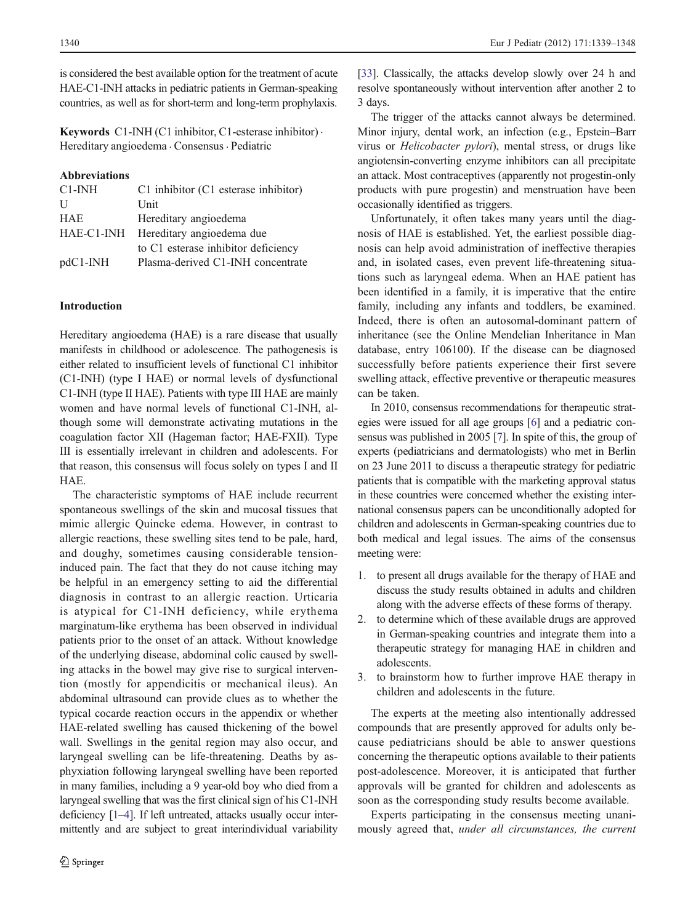is considered the best available option for the treatment of acute HAE-C1-INH attacks in pediatric patients in German-speaking countries, as well as for short-term and long-term prophylaxis.

Keywords C1-INH (C1 inhibitor, C1-esterase inhibitor) . Hereditary angioedema . Consensus. Pediatric

#### Abbreviations

| $C1-INH$    | C1 inhibitor (C1 esterase inhibitor) |
|-------------|--------------------------------------|
| H           | Unit                                 |
| <b>HAE</b>  | Hereditary angioedema                |
| HAE-C1-INH  | Hereditary angioedema due            |
|             | to C1 esterase inhibitor deficiency  |
| $pdC1$ -INH | Plasma-derived C1-INH concentrate    |

# Introduction

Hereditary angioedema (HAE) is a rare disease that usually manifests in childhood or adolescence. The pathogenesis is either related to insufficient levels of functional C1 inhibitor (C1-INH) (type I HAE) or normal levels of dysfunctional C1-INH (type II HAE). Patients with type III HAE are mainly women and have normal levels of functional C1-INH, although some will demonstrate activating mutations in the coagulation factor XII (Hageman factor; HAE-FXII). Type III is essentially irrelevant in children and adolescents. For that reason, this consensus will focus solely on types I and II HAE.

The characteristic symptoms of HAE include recurrent spontaneous swellings of the skin and mucosal tissues that mimic allergic Quincke edema. However, in contrast to allergic reactions, these swelling sites tend to be pale, hard, and doughy, sometimes causing considerable tensioninduced pain. The fact that they do not cause itching may be helpful in an emergency setting to aid the differential diagnosis in contrast to an allergic reaction. Urticaria is atypical for C1-INH deficiency, while erythema marginatum-like erythema has been observed in individual patients prior to the onset of an attack. Without knowledge of the underlying disease, abdominal colic caused by swelling attacks in the bowel may give rise to surgical intervention (mostly for appendicitis or mechanical ileus). An abdominal ultrasound can provide clues as to whether the typical cocarde reaction occurs in the appendix or whether HAE-related swelling has caused thickening of the bowel wall. Swellings in the genital region may also occur, and laryngeal swelling can be life-threatening. Deaths by asphyxiation following laryngeal swelling have been reported in many families, including a 9 year-old boy who died from a laryngeal swelling that was the first clinical sign of his C1-INH deficiency [[1](#page-8-0)–[4\]](#page-8-0). If left untreated, attacks usually occur intermittently and are subject to great interindividual variability

[\[33\]](#page-9-0). Classically, the attacks develop slowly over 24 h and resolve spontaneously without intervention after another 2 to 3 days.

The trigger of the attacks cannot always be determined. Minor injury, dental work, an infection (e.g., Epstein–Barr virus or Helicobacter pylori), mental stress, or drugs like angiotensin-converting enzyme inhibitors can all precipitate an attack. Most contraceptives (apparently not progestin-only products with pure progestin) and menstruation have been occasionally identified as triggers.

Unfortunately, it often takes many years until the diagnosis of HAE is established. Yet, the earliest possible diagnosis can help avoid administration of ineffective therapies and, in isolated cases, even prevent life-threatening situations such as laryngeal edema. When an HAE patient has been identified in a family, it is imperative that the entire family, including any infants and toddlers, be examined. Indeed, there is often an autosomal-dominant pattern of inheritance (see the Online Mendelian Inheritance in Man database, entry 106100). If the disease can be diagnosed successfully before patients experience their first severe swelling attack, effective preventive or therapeutic measures can be taken.

In 2010, consensus recommendations for therapeutic strategies were issued for all age groups [[6](#page-8-0)] and a pediatric consensus was published in 2005 [\[7](#page-8-0)]. In spite of this, the group of experts (pediatricians and dermatologists) who met in Berlin on 23 June 2011 to discuss a therapeutic strategy for pediatric patients that is compatible with the marketing approval status in these countries were concerned whether the existing international consensus papers can be unconditionally adopted for children and adolescents in German-speaking countries due to both medical and legal issues. The aims of the consensus meeting were:

- 1. to present all drugs available for the therapy of HAE and discuss the study results obtained in adults and children along with the adverse effects of these forms of therapy.
- 2. to determine which of these available drugs are approved in German-speaking countries and integrate them into a therapeutic strategy for managing HAE in children and adolescents.
- 3. to brainstorm how to further improve HAE therapy in children and adolescents in the future.

The experts at the meeting also intentionally addressed compounds that are presently approved for adults only because pediatricians should be able to answer questions concerning the therapeutic options available to their patients post-adolescence. Moreover, it is anticipated that further approvals will be granted for children and adolescents as soon as the corresponding study results become available.

Experts participating in the consensus meeting unanimously agreed that, under all circumstances, the current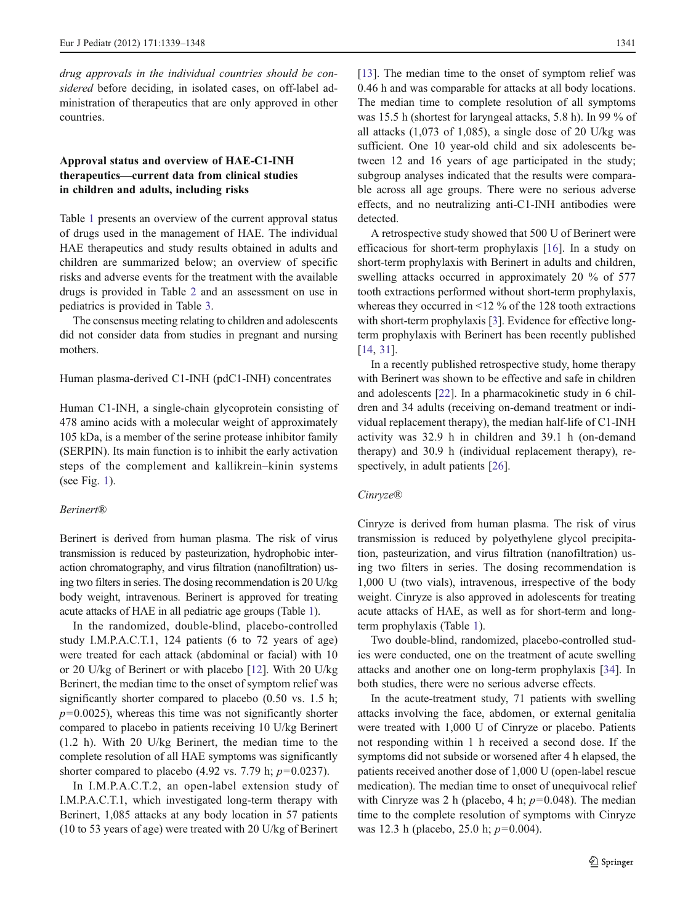drug approvals in the individual countries should be considered before deciding, in isolated cases, on off-label administration of therapeutics that are only approved in other countries.

# Approval status and overview of HAE-C1-INH therapeutics—current data from clinical studies in children and adults, including risks

Table [1](#page-3-0) presents an overview of the current approval status of drugs used in the management of HAE. The individual HAE therapeutics and study results obtained in adults and children are summarized below; an overview of specific risks and adverse events for the treatment with the available drugs is provided in Table [2](#page-4-0) and an assessment on use in pediatrics is provided in Table [3.](#page-5-0)

The consensus meeting relating to children and adolescents did not consider data from studies in pregnant and nursing mothers.

Human plasma-derived C1-INH (pdC1-INH) concentrates

Human C1-INH, a single-chain glycoprotein consisting of 478 amino acids with a molecular weight of approximately 105 kDa, is a member of the serine protease inhibitor family (SERPIN). Its main function is to inhibit the early activation steps of the complement and kallikrein–kinin systems (see Fig. [1](#page-6-0)).

#### Berinert®

Berinert is derived from human plasma. The risk of virus transmission is reduced by pasteurization, hydrophobic interaction chromatography, and virus filtration (nanofiltration) using two filters in series. The dosing recommendation is 20 U/kg body weight, intravenous. Berinert is approved for treating acute attacks of HAE in all pediatric age groups (Table [1\)](#page-3-0).

In the randomized, double-blind, placebo-controlled study I.M.P.A.C.T.1, 124 patients (6 to 72 years of age) were treated for each attack (abdominal or facial) with 10 or 20 U/kg of Berinert or with placebo [[12\]](#page-8-0). With 20 U/kg Berinert, the median time to the onset of symptom relief was significantly shorter compared to placebo (0.50 vs. 1.5 h;  $p=0.0025$ ), whereas this time was not significantly shorter compared to placebo in patients receiving 10 U/kg Berinert (1.2 h). With 20 U/kg Berinert, the median time to the complete resolution of all HAE symptoms was significantly shorter compared to placebo (4.92 vs. 7.79 h;  $p=0.0237$ ).

In I.M.P.A.C.T.2, an open-label extension study of I.M.P.A.C.T.1, which investigated long-term therapy with Berinert, 1,085 attacks at any body location in 57 patients (10 to 53 years of age) were treated with 20 U/kg of Berinert [\[13](#page-8-0)]. The median time to the onset of symptom relief was 0.46 h and was comparable for attacks at all body locations. The median time to complete resolution of all symptoms was 15.5 h (shortest for laryngeal attacks, 5.8 h). In 99 % of all attacks  $(1,073 \text{ of } 1,085)$ , a single dose of 20 U/kg was sufficient. One 10 year-old child and six adolescents between 12 and 16 years of age participated in the study; subgroup analyses indicated that the results were comparable across all age groups. There were no serious adverse effects, and no neutralizing anti-C1-INH antibodies were detected.

A retrospective study showed that 500 U of Berinert were efficacious for short-term prophylaxis [\[16](#page-8-0)]. In a study on short-term prophylaxis with Berinert in adults and children, swelling attacks occurred in approximately 20 % of 577 tooth extractions performed without short-term prophylaxis, whereas they occurred in <12 % of the 128 tooth extractions with short-term prophylaxis [\[3](#page-8-0)]. Evidence for effective longterm prophylaxis with Berinert has been recently published [\[14](#page-8-0), [31\]](#page-9-0).

In a recently published retrospective study, home therapy with Berinert was shown to be effective and safe in children and adolescents [[22\]](#page-9-0). In a pharmacokinetic study in 6 children and 34 adults (receiving on-demand treatment or individual replacement therapy), the median half-life of C1-INH activity was 32.9 h in children and 39.1 h (on-demand therapy) and 30.9 h (individual replacement therapy), re-spectively, in adult patients [\[26](#page-9-0)].

# Cinryze®

Cinryze is derived from human plasma. The risk of virus transmission is reduced by polyethylene glycol precipitation, pasteurization, and virus filtration (nanofiltration) using two filters in series. The dosing recommendation is 1,000 U (two vials), intravenous, irrespective of the body weight. Cinryze is also approved in adolescents for treating acute attacks of HAE, as well as for short-term and longterm prophylaxis (Table [1\)](#page-3-0).

Two double-blind, randomized, placebo-controlled studies were conducted, one on the treatment of acute swelling attacks and another one on long-term prophylaxis [[34\]](#page-9-0). In both studies, there were no serious adverse effects.

In the acute-treatment study, 71 patients with swelling attacks involving the face, abdomen, or external genitalia were treated with 1,000 U of Cinryze or placebo. Patients not responding within 1 h received a second dose. If the symptoms did not subside or worsened after 4 h elapsed, the patients received another dose of 1,000 U (open-label rescue medication). The median time to onset of unequivocal relief with Cinryze was 2 h (placebo, 4 h;  $p=0.048$ ). The median time to the complete resolution of symptoms with Cinryze was 12.3 h (placebo, 25.0 h;  $p=0.004$ ).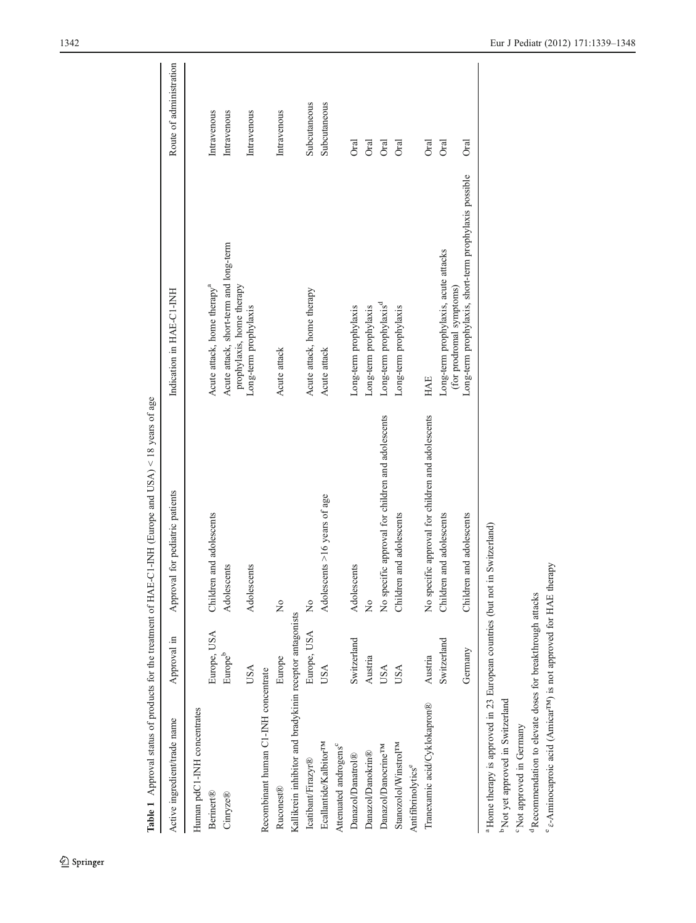<span id="page-3-0"></span>

| Active ingredient/trade name                                                            | Approval in         | Approval for pediatric patients                   | Indication in HAE-C1-INH                               | Route of administration |
|-----------------------------------------------------------------------------------------|---------------------|---------------------------------------------------|--------------------------------------------------------|-------------------------|
| Human pdC1-INH concentrates                                                             |                     |                                                   |                                                        |                         |
| <b>Berinert®</b>                                                                        | Europe, USA         | Children and adolescents                          | Acute attack, home therapy <sup>a</sup>                | Intravenous             |
| Cinryze®                                                                                | Europe <sup>b</sup> | Adolescents                                       | Acute attack, short-term and long-term                 | Intravenous             |
|                                                                                         |                     |                                                   | prophylaxis, home therapy                              |                         |
|                                                                                         | USA                 | Adolescents                                       | Long-term prophylaxis                                  | Intravenous             |
| Recombinant human C1-INH concentrate                                                    |                     |                                                   |                                                        |                         |
| Ruconest®                                                                               | Europe              | $\frac{1}{2}$                                     | Acute attack                                           | Intravenous             |
| Kallikrein inhibitor and bradykinin receptor antagonists                                |                     |                                                   |                                                        |                         |
| Icatibant/Firazyr®                                                                      | Europe, USA         | $\tilde{z}$                                       | Acute attack, home therapy                             | Subcutaneous            |
| Ecallantide/Kalbitor <sup>TM</sup>                                                      | <b>USA</b>          | Adolescents >16 years of age                      | Acute attack                                           | Subcutaneous            |
| Attenuated androgens <sup>c</sup>                                                       |                     |                                                   |                                                        |                         |
| Danazol/Danatrol®                                                                       | Switzerland         | Adolescents                                       | Long-term prophylaxis                                  | <b>Jral</b>             |
| Danazol/Danokrin®                                                                       | Austria             | $\frac{1}{2}$                                     | Long-term prophylaxis                                  | <b>Oral</b>             |
| Danazol/Danocrine <sup>TM</sup>                                                         | <b>USA</b>          | No specific approval for children and adolescents | Long-term prophylaxis <sup>d</sup>                     | <b>Oral</b>             |
| Stanozolol/WinstrolTM                                                                   | USA                 | Children and adolescents                          | Long-term prophylaxis                                  | ි<br>ටි                 |
| Antifibrinolytics <sup>e</sup>                                                          |                     |                                                   |                                                        |                         |
| Tranexamic acid/Cyklokapron®                                                            | Austria             | No specific approval for children and adolescents | <b>HAE</b>                                             | <b>Oral</b>             |
|                                                                                         | Switzerland         | Children and adolescents                          | Long-term prophylaxis, acute attacks                   | <b>J</b> ral            |
|                                                                                         |                     |                                                   | (for prodromal symptoms)                               |                         |
|                                                                                         | Germany             | Children and adolescents                          | Long-term prophylaxis, short-term prophylaxis possible | <b>Oral</b>             |
| <sup>a</sup> Home therapy is approved in 23 European countries (but not in Switzerland) |                     |                                                   |                                                        |                         |
| <sup>b</sup> Not yet approved in Switzerland                                            |                     |                                                   |                                                        |                         |
|                                                                                         |                     |                                                   |                                                        |                         |

Table 1 Approval status of products for the treatment of HAE-C1-INH (Europe and USA) < 18 years of age **Table 1** Approval status of products for the treatment of HAE-C1-INH (Europe and USA)  $\leq$  18 years of age

# $\underline{\textcircled{\tiny 2}}$  Springer

<sup>c</sup> Not approved in Germany Not approved in Germany

<sup>d</sup> Recommendation to elevate doses for breakthrough attacks Recommendation to elevate doses for breakthrough attacks <sup>e</sup> ε-Aminocaproic acid (Amicar<sup>TM</sup>) is not approved for HAE therapy  $e$  ε-Aminocaproic acid (Amicar<sup>™</sup>) is not approved for HAE therapy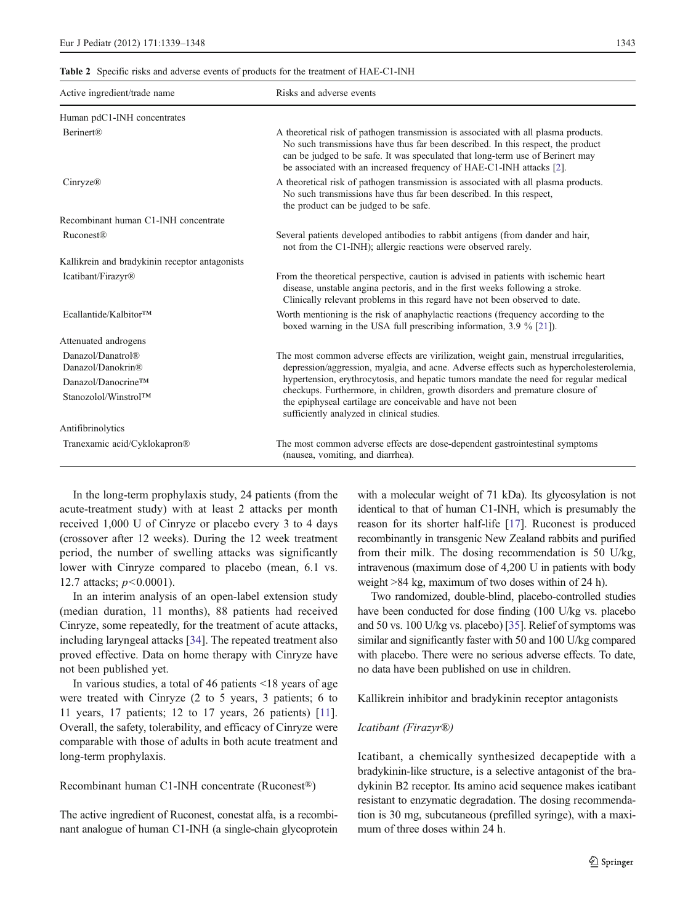<span id="page-4-0"></span>Table 2 Specific risks and adverse events of products for the treatment of HAE-C1-INH

| Active ingredient/trade name                            | Risks and adverse events                                                                                                                                                                                                                                                                                                          |  |  |  |
|---------------------------------------------------------|-----------------------------------------------------------------------------------------------------------------------------------------------------------------------------------------------------------------------------------------------------------------------------------------------------------------------------------|--|--|--|
| Human pdC1-INH concentrates                             |                                                                                                                                                                                                                                                                                                                                   |  |  |  |
| <b>Berinert®</b>                                        | A theoretical risk of pathogen transmission is associated with all plasma products.<br>No such transmissions have thus far been described. In this respect, the product<br>can be judged to be safe. It was speculated that long-term use of Berinert may<br>be associated with an increased frequency of HAE-C1-INH attacks [2]. |  |  |  |
| Cinryze®                                                | A theoretical risk of pathogen transmission is associated with all plasma products.<br>No such transmissions have thus far been described. In this respect,<br>the product can be judged to be safe.                                                                                                                              |  |  |  |
| Recombinant human C1-INH concentrate                    |                                                                                                                                                                                                                                                                                                                                   |  |  |  |
| $Ruconest$ $R$                                          | Several patients developed antibodies to rabbit antigens (from dander and hair,<br>not from the C1-INH); allergic reactions were observed rarely.                                                                                                                                                                                 |  |  |  |
| Kallikrein and bradykinin receptor antagonists          |                                                                                                                                                                                                                                                                                                                                   |  |  |  |
| Icatibant/Firazyr®                                      | From the theoretical perspective, caution is advised in patients with ischemic heart<br>disease, unstable angina pectoris, and in the first weeks following a stroke.<br>Clinically relevant problems in this regard have not been observed to date.                                                                              |  |  |  |
| Ecallantide/Kalbitor™                                   | Worth mentioning is the risk of anaphylactic reactions (frequency according to the<br>boxed warning in the USA full prescribing information, $3.9\%$ [21]).                                                                                                                                                                       |  |  |  |
| Attenuated androgens                                    |                                                                                                                                                                                                                                                                                                                                   |  |  |  |
| Danazol/Danatrol®<br>Danazol/Danokrin <sup>®</sup>      | The most common adverse effects are virilization, weight gain, menstrual irregularities,<br>depression/aggression, myalgia, and acne. Adverse effects such as hypercholesterolemia,                                                                                                                                               |  |  |  |
| Danazol/Danocrine™<br>Stanozolol/Winstrol <sup>TM</sup> | hypertension, erythrocytosis, and hepatic tumors mandate the need for regular medical<br>checkups. Furthermore, in children, growth disorders and premature closure of<br>the epiphyseal cartilage are conceivable and have not been<br>sufficiently analyzed in clinical studies.                                                |  |  |  |
| Antifibrinolytics                                       |                                                                                                                                                                                                                                                                                                                                   |  |  |  |
| Tranexamic acid/Cyklokapron®                            | The most common adverse effects are dose-dependent gastrointestinal symptoms<br>(nausea, vomiting, and diarrhea).                                                                                                                                                                                                                 |  |  |  |

In the long-term prophylaxis study, 24 patients (from the acute-treatment study) with at least 2 attacks per month received 1,000 U of Cinryze or placebo every 3 to 4 days (crossover after 12 weeks). During the 12 week treatment period, the number of swelling attacks was significantly lower with Cinryze compared to placebo (mean, 6.1 vs. 12.7 attacks;  $p < 0.0001$ ).

In an interim analysis of an open-label extension study (median duration, 11 months), 88 patients had received Cinryze, some repeatedly, for the treatment of acute attacks, including laryngeal attacks [[34\]](#page-9-0). The repeated treatment also proved effective. Data on home therapy with Cinryze have not been published yet.

In various studies, a total of 46 patients <18 years of age were treated with Cinryze (2 to 5 years, 3 patients; 6 to 11 years, 17 patients; 12 to 17 years, 26 patients) [[11](#page-8-0)]. Overall, the safety, tolerability, and efficacy of Cinryze were comparable with those of adults in both acute treatment and long-term prophylaxis.

Recombinant human C1-INH concentrate (Ruconest®)

The active ingredient of Ruconest, conestat alfa, is a recombinant analogue of human C1-INH (a single-chain glycoprotein with a molecular weight of 71 kDa). Its glycosylation is not identical to that of human C1-INH, which is presumably the reason for its shorter half-life [[17\]](#page-8-0). Ruconest is produced recombinantly in transgenic New Zealand rabbits and purified from their milk. The dosing recommendation is 50 U/kg, intravenous (maximum dose of 4,200 U in patients with body weight >84 kg, maximum of two doses within of 24 h).

Two randomized, double-blind, placebo-controlled studies have been conducted for dose finding (100 U/kg vs. placebo and 50 vs. 100 U/kg vs. placebo) [\[35](#page-9-0)]. Relief of symptoms was similar and significantly faster with 50 and 100 U/kg compared with placebo. There were no serious adverse effects. To date, no data have been published on use in children.

Kallikrein inhibitor and bradykinin receptor antagonists

#### Icatibant (Firazyr®)

Icatibant, a chemically synthesized decapeptide with a bradykinin-like structure, is a selective antagonist of the bradykinin B2 receptor. Its amino acid sequence makes icatibant resistant to enzymatic degradation. The dosing recommendation is 30 mg, subcutaneous (prefilled syringe), with a maximum of three doses within 24 h.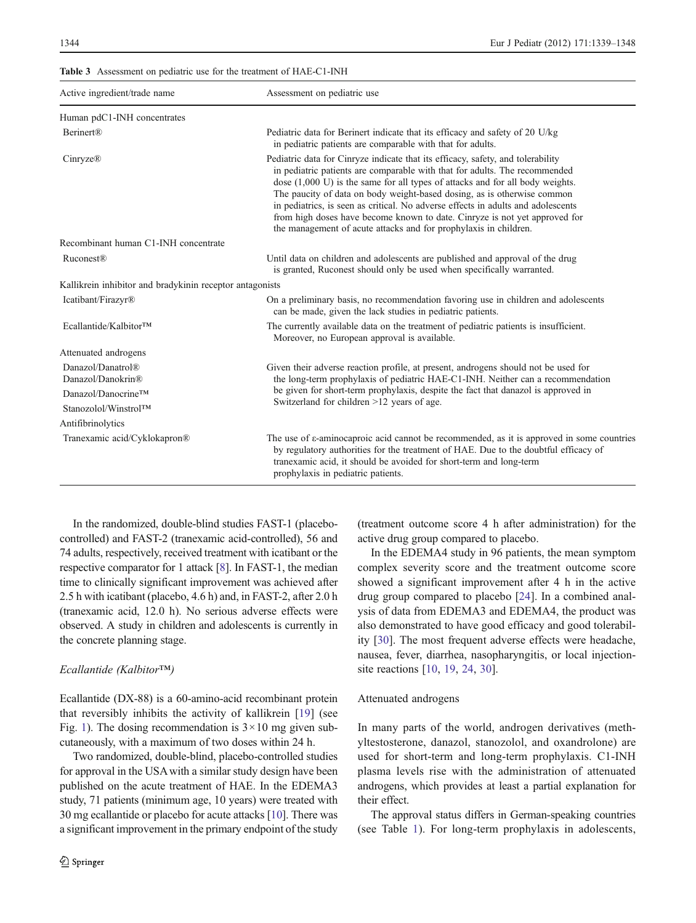<span id="page-5-0"></span>

| Active ingredient/trade name                                             | Assessment on pediatric use                                                                                                                                                                                                                                                                                                                                                                                                                                                                                                                                               |  |  |  |
|--------------------------------------------------------------------------|---------------------------------------------------------------------------------------------------------------------------------------------------------------------------------------------------------------------------------------------------------------------------------------------------------------------------------------------------------------------------------------------------------------------------------------------------------------------------------------------------------------------------------------------------------------------------|--|--|--|
| Human pdC1-INH concentrates                                              |                                                                                                                                                                                                                                                                                                                                                                                                                                                                                                                                                                           |  |  |  |
| <b>Berinert®</b>                                                         | Pediatric data for Berinert indicate that its efficacy and safety of 20 U/kg<br>in pediatric patients are comparable with that for adults.                                                                                                                                                                                                                                                                                                                                                                                                                                |  |  |  |
| Cinryze@                                                                 | Pediatric data for Cinryze indicate that its efficacy, safety, and tolerability<br>in pediatric patients are comparable with that for adults. The recommended<br>dose $(1,000 \text{ U})$ is the same for all types of attacks and for all body weights.<br>The paucity of data on body weight-based dosing, as is otherwise common<br>in pediatrics, is seen as critical. No adverse effects in adults and adolescents<br>from high doses have become known to date. Cinryze is not yet approved for<br>the management of acute attacks and for prophylaxis in children. |  |  |  |
| Recombinant human C1-INH concentrate                                     |                                                                                                                                                                                                                                                                                                                                                                                                                                                                                                                                                                           |  |  |  |
| <b>Ruconest®</b>                                                         | Until data on children and adolescents are published and approval of the drug<br>is granted, Ruconest should only be used when specifically warranted.                                                                                                                                                                                                                                                                                                                                                                                                                    |  |  |  |
| Kallikrein inhibitor and bradykinin receptor antagonists                 |                                                                                                                                                                                                                                                                                                                                                                                                                                                                                                                                                                           |  |  |  |
| Icatibant/Firazyr <sup>®</sup>                                           | On a preliminary basis, no recommendation favoring use in children and adolescents<br>can be made, given the lack studies in pediatric patients.                                                                                                                                                                                                                                                                                                                                                                                                                          |  |  |  |
| Ecallantide/Kalbitor™                                                    | The currently available data on the treatment of pediatric patients is insufficient.<br>Moreover, no European approval is available.                                                                                                                                                                                                                                                                                                                                                                                                                                      |  |  |  |
| Attenuated androgens                                                     |                                                                                                                                                                                                                                                                                                                                                                                                                                                                                                                                                                           |  |  |  |
| Danazol/Danatrol®<br>Danazol/Danokrin <sup>®</sup><br>Danazol/Danocrine™ | Given their adverse reaction profile, at present, androgens should not be used for<br>the long-term prophylaxis of pediatric HAE-C1-INH. Neither can a recommendation<br>be given for short-term prophylaxis, despite the fact that danazol is approved in                                                                                                                                                                                                                                                                                                                |  |  |  |
| Stanozolol/Winstrol™                                                     | Switzerland for children >12 years of age.                                                                                                                                                                                                                                                                                                                                                                                                                                                                                                                                |  |  |  |
| Antifibrinolytics                                                        |                                                                                                                                                                                                                                                                                                                                                                                                                                                                                                                                                                           |  |  |  |
| Tranexamic acid/Cyklokapron®                                             | The use of $\varepsilon$ -aminocaproic acid cannot be recommended, as it is approved in some countries                                                                                                                                                                                                                                                                                                                                                                                                                                                                    |  |  |  |

prophylaxis in pediatric patients.

In the randomized, double-blind studies FAST-1 (placebocontrolled) and FAST-2 (tranexamic acid-controlled), 56 and 74 adults, respectively, received treatment with icatibant or the respective comparator for 1 attack [\[8\]](#page-8-0). In FAST-1, the median time to clinically significant improvement was achieved after 2.5 h with icatibant (placebo, 4.6 h) and, in FAST-2, after 2.0 h (tranexamic acid, 12.0 h). No serious adverse effects were observed. A study in children and adolescents is currently in the concrete planning stage.

#### Ecallantide (Kalbitor™)

Ecallantide (DX-88) is a 60-amino-acid recombinant protein that reversibly inhibits the activity of kallikrein [[19\]](#page-8-0) (see Fig. [1](#page-6-0)). The dosing recommendation is  $3 \times 10$  mg given subcutaneously, with a maximum of two doses within 24 h.

Two randomized, double-blind, placebo-controlled studies for approval in the USA with a similar study design have been published on the acute treatment of HAE. In the EDEMA3 study, 71 patients (minimum age, 10 years) were treated with 30 mg ecallantide or placebo for acute attacks [[10\]](#page-8-0). There was a significant improvement in the primary endpoint of the study (treatment outcome score 4 h after administration) for the active drug group compared to placebo.

by regulatory authorities for the treatment of HAE. Due to the doubtful efficacy of

tranexamic acid, it should be avoided for short-term and long-term

In the EDEMA4 study in 96 patients, the mean symptom complex severity score and the treatment outcome score showed a significant improvement after 4 h in the active drug group compared to placebo [\[24](#page-9-0)]. In a combined analysis of data from EDEMA3 and EDEMA4, the product was also demonstrated to have good efficacy and good tolerability [\[30](#page-9-0)]. The most frequent adverse effects were headache, nausea, fever, diarrhea, nasopharyngitis, or local injectionsite reactions [[10,](#page-8-0) [19,](#page-8-0) [24](#page-9-0), [30\]](#page-9-0).

# Attenuated androgens

In many parts of the world, androgen derivatives (methyltestosterone, danazol, stanozolol, and oxandrolone) are used for short-term and long-term prophylaxis. C1-INH plasma levels rise with the administration of attenuated androgens, which provides at least a partial explanation for their effect.

The approval status differs in German-speaking countries (see Table [1](#page-3-0)). For long-term prophylaxis in adolescents,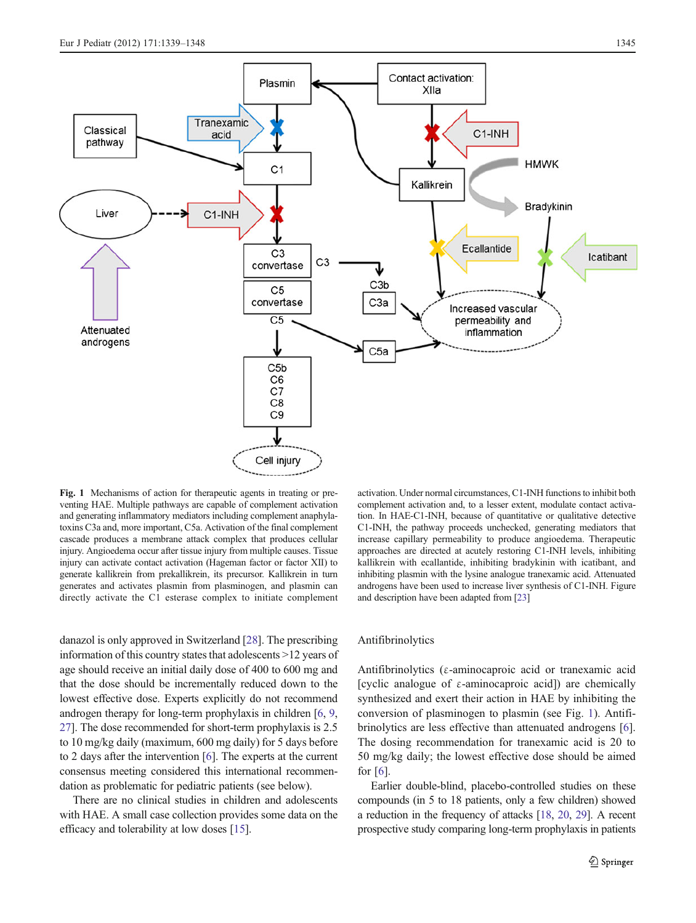<span id="page-6-0"></span>

Fig. 1 Mechanisms of action for therapeutic agents in treating or preventing HAE. Multiple pathways are capable of complement activation and generating inflammatory mediators including complement anaphylatoxins C3a and, more important, C5a. Activation of the final complement cascade produces a membrane attack complex that produces cellular injury. Angioedema occur after tissue injury from multiple causes. Tissue injury can activate contact activation (Hageman factor or factor XII) to generate kallikrein from prekallikrein, its precursor. Kallikrein in turn generates and activates plasmin from plasminogen, and plasmin can directly activate the C1 esterase complex to initiate complement

danazol is only approved in Switzerland [[28\]](#page-9-0). The prescribing information of this country states that adolescents >12 years of age should receive an initial daily dose of 400 to 600 mg and that the dose should be incrementally reduced down to the lowest effective dose. Experts explicitly do not recommend androgen therapy for long-term prophylaxis in children [[6,](#page-8-0) [9,](#page-8-0) [27\]](#page-9-0). The dose recommended for short-term prophylaxis is 2.5 to 10 mg/kg daily (maximum, 600 mg daily) for 5 days before to 2 days after the intervention [\[6](#page-8-0)]. The experts at the current consensus meeting considered this international recommendation as problematic for pediatric patients (see below).

There are no clinical studies in children and adolescents with HAE. A small case collection provides some data on the efficacy and tolerability at low doses [\[15\]](#page-8-0).

activation. Under normal circumstances, C1-INH functions to inhibit both complement activation and, to a lesser extent, modulate contact activation. In HAE-C1-INH, because of quantitative or qualitative detective C1-INH, the pathway proceeds unchecked, generating mediators that increase capillary permeability to produce angioedema. Therapeutic approaches are directed at acutely restoring C1-INH levels, inhibiting kallikrein with ecallantide, inhibiting bradykinin with icatibant, and inhibiting plasmin with the lysine analogue tranexamic acid. Attenuated androgens have been used to increase liver synthesis of C1-INH. Figure and description have been adapted from [[23\]](#page-9-0)

#### Antifibrinolytics

Antifibrinolytics (ε-aminocaproic acid or tranexamic acid [cyclic analogue of  $\varepsilon$ -aminocaproic acid]) are chemically synthesized and exert their action in HAE by inhibiting the conversion of plasminogen to plasmin (see Fig. 1). Antifibrinolytics are less effective than attenuated androgens [[6\]](#page-8-0). The dosing recommendation for tranexamic acid is 20 to 50 mg/kg daily; the lowest effective dose should be aimed for  $[6]$  $[6]$ .

Earlier double-blind, placebo-controlled studies on these compounds (in 5 to 18 patients, only a few children) showed a reduction in the frequency of attacks [\[18,](#page-8-0) [20](#page-9-0), [29](#page-9-0)]. A recent prospective study comparing long-term prophylaxis in patients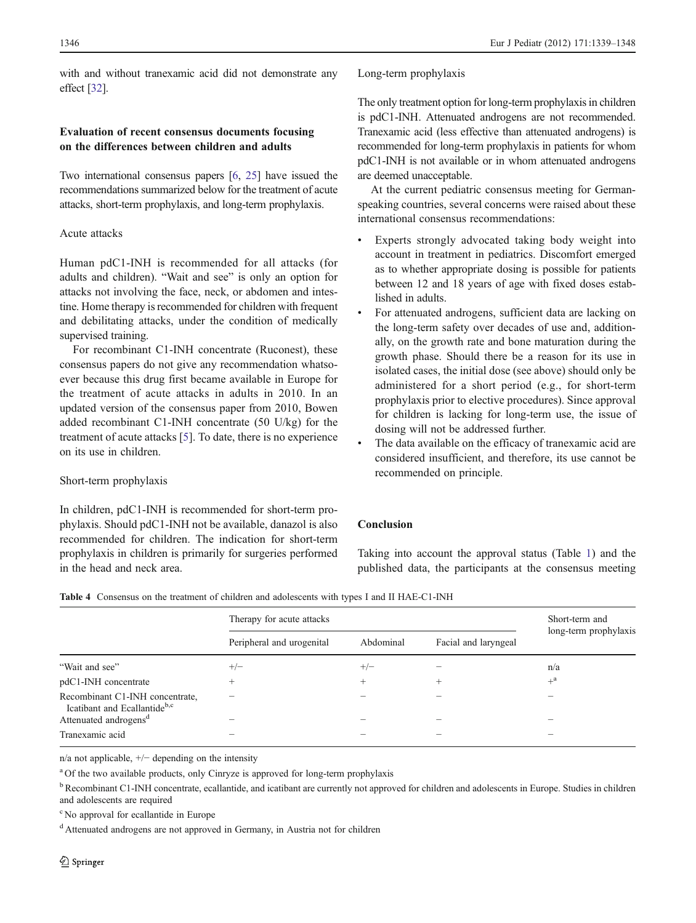<span id="page-7-0"></span>with and without tranexamic acid did not demonstrate any effect [[32](#page-9-0)].

# Evaluation of recent consensus documents focusing on the differences between children and adults

Two international consensus papers [\[6,](#page-8-0) [25](#page-9-0)] have issued the recommendations summarized below for the treatment of acute attacks, short-term prophylaxis, and long-term prophylaxis.

## Acute attacks

Human pdC1-INH is recommended for all attacks (for adults and children). "Wait and see" is only an option for attacks not involving the face, neck, or abdomen and intestine. Home therapy is recommended for children with frequent and debilitating attacks, under the condition of medically supervised training.

For recombinant C1-INH concentrate (Ruconest), these consensus papers do not give any recommendation whatsoever because this drug first became available in Europe for the treatment of acute attacks in adults in 2010. In an updated version of the consensus paper from 2010, Bowen added recombinant C1-INH concentrate (50 U/kg) for the treatment of acute attacks [[5\]](#page-8-0). To date, there is no experience on its use in children.

#### Short-term prophylaxis

In children, pdC1-INH is recommended for short-term prophylaxis. Should pdC1-INH not be available, danazol is also recommended for children. The indication for short-term prophylaxis in children is primarily for surgeries performed in the head and neck area.

Long-term prophylaxis

The only treatment option for long-term prophylaxis in children is pdC1-INH. Attenuated androgens are not recommended. Tranexamic acid (less effective than attenuated androgens) is recommended for long-term prophylaxis in patients for whom pdC1-INH is not available or in whom attenuated androgens are deemed unacceptable.

At the current pediatric consensus meeting for Germanspeaking countries, several concerns were raised about these international consensus recommendations:

- Experts strongly advocated taking body weight into account in treatment in pediatrics. Discomfort emerged as to whether appropriate dosing is possible for patients between 12 and 18 years of age with fixed doses established in adults.
- For attenuated androgens, sufficient data are lacking on the long-term safety over decades of use and, additionally, on the growth rate and bone maturation during the growth phase. Should there be a reason for its use in isolated cases, the initial dose (see above) should only be administered for a short period (e.g., for short-term prophylaxis prior to elective procedures). Since approval for children is lacking for long-term use, the issue of dosing will not be addressed further.
- The data available on the efficacy of tranexamic acid are considered insufficient, and therefore, its use cannot be recommended on principle.

# Conclusion

Taking into account the approval status (Table [1](#page-3-0)) and the published data, the participants at the consensus meeting

Table 4 Consensus on the treatment of children and adolescents with types I and II HAE-C1-INH

|                                                                 | Therapy for acute attacks | Short-term and |                      |                       |
|-----------------------------------------------------------------|---------------------------|----------------|----------------------|-----------------------|
|                                                                 | Peripheral and urogenital | Abdominal      | Facial and laryngeal | long-term prophylaxis |
| "Wait and see"                                                  | $+/-$                     | $+/-$          |                      | n/a                   |
| pdC1-INH concentrate                                            | $\hspace{0.1mm} +$        | $^{+}$         |                      | $+^a$                 |
| Recombinant C1-INH concentrate,<br>Icatibant and Ecallantideb,c |                           |                |                      |                       |
| Attenuated androgens <sup>d</sup>                               |                           |                |                      |                       |
| Tranexamic acid                                                 |                           |                |                      |                       |

n/a not applicable, +/− depending on the intensity

<sup>a</sup> Of the two available products, only Cinryze is approved for long-term prophylaxis

<sup>b</sup> Recombinant C1-INH concentrate, ecallantide, and icatibant are currently not approved for children and adolescents in Europe. Studies in children and adolescents are required

<sup>c</sup> No approval for ecallantide in Europe

<sup>d</sup> Attenuated androgens are not approved in Germany, in Austria not for children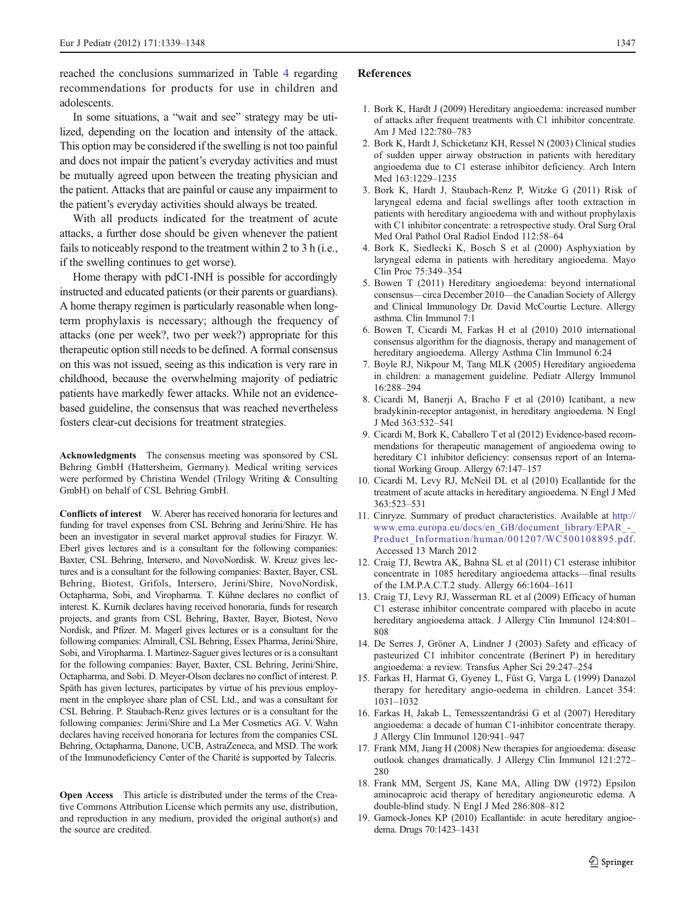<span id="page-8-0"></span>reached the conclusions summarized in Table [4](#page-7-0) regarding recommendations for products for use in children and adolescents.

In some situations, a "wait and see" strategy may be utilized, depending on the location and intensity of the attack. This option may be considered if the swelling is not too painful and does not impair the patient's everyday activities and must be mutually agreed upon between the treating physician and the patient. Attacks that are painful or cause any impairment to the patient's everyday activities should always be treated.

With all products indicated for the treatment of acute attacks, a further dose should be given whenever the patient fails to noticeably respond to the treatment within 2 to 3 h (i.e., if the swelling continues to get worse).

Home therapy with pdC1-INH is possible for accordingly instructed and educated patients (or their parents or guardians). A home therapy regimen is particularly reasonable when longterm prophylaxis is necessary; although the frequency of attacks (one per week?, two per week?) appropriate for this therapeutic option still needs to be defined. A formal consensus on this was not issued, seeing as this indication is very rare in childhood, because the overwhelming majority of pediatric patients have markedly fewer attacks. While not an evidencebased guideline, the consensus that was reached nevertheless fosters clear-cut decisions for treatment strategies.

Acknowledgments The consensus meeting was sponsored by CSL Behring GmbH (Hattersheim, Germany). Medical writing services were performed by Christina Wendel (Trilogy Writing & Consulting GmbH) on behalf of CSL Behring GmbH.

Conflicts of interest W. Aberer has received honoraria for lectures and funding for travel expenses from CSL Behring and Jerini/Shire. He has been an investigator in several market approval studies for Firazyr. W. Eberl gives lectures and is a consultant for the following companies: Baxter, CSL Behring, Intersero, and NovoNordisk. W. Kreuz gives lectures and is a consultant for the following companies: Baxter, Bayer, CSL Behring, Biotest, Grifols, Intersero, Jerini/Shire, NovoNordisk, Octapharma, Sobi, and Viropharma. T. Kühne declares no conflict of interest. K. Kurnik declares having received honoraria, funds for research projects, and grants from CSL Behring, Baxter, Bayer, Biotest, Novo Nordisk, and Pfizer. M. Magerl gives lectures or is a consultant for the following companies: Almirall, CSL Behring, Essex Pharma, Jerini/Shire, Sobi, and Viropharma. I. Martinez-Saguer gives lectures or is a consultant for the following companies: Bayer, Baxter, CSL Behring, Jerini/Shire, Octapharma, and Sobi. D. Meyer-Olson declares no conflict of interest. P. Späth has given lectures, participates by virtue of his previous employment in the employee share plan of CSL Ltd., and was a consultant for CSL Behring. P. Staubach-Renz gives lectures or is a consultant for the following companies: Jerini/Shire and La Mer Cosmetics AG. V. Wahn declares having received honoraria for lectures from the companies CSL Behring, Octapharma, Danone, UCB, AstraZeneca, and MSD. The work of the Immunodeficiency Center of the Charité is supported by Talecris.

Open Access This article is distributed under the terms of the Creative Commons Attribution License which permits any use, distribution, and reproduction in any medium, provided the original author(s) and the source are credited.

#### References

- 1. Bork K, Hardt J (2009) Hereditary angioedema: increased number of attacks after frequent treatments with C1 inhibitor concentrate. Am J Med 122:780–783
- 2. Bork K, Hardt J, Schicketanz KH, Ressel N (2003) Clinical studies of sudden upper airway obstruction in patients with hereditary angioedema due to C1 esterase inhibitor deficiency. Arch Intern Med 163:1229–1235
- 3. Bork K, Hardt J, Staubach-Renz P, Witzke G (2011) Risk of laryngeal edema and facial swellings after tooth extraction in patients with hereditary angioedema with and without prophylaxis with C1 inhibitor concentrate: a retrospective study. Oral Surg Oral Med Oral Pathol Oral Radiol Endod 112:58–64
- 4. Bork K, Siedlecki K, Bosch S et al (2000) Asphyxiation by laryngeal edema in patients with hereditary angioedema. Mayo Clin Proc 75:349–354
- 5. Bowen T (2011) Hereditary angioedema: beyond international consensus—circa December 2010—the Canadian Society of Allergy and Clinical Immunology Dr. David McCourtie Lecture. Allergy asthma. Clin Immunol 7:1
- 6. Bowen T, Cicardi M, Farkas H et al (2010) 2010 international consensus algorithm for the diagnosis, therapy and management of hereditary angioedema. Allergy Asthma Clin Immunol 6:24
- 7. Boyle RJ, Nikpour M, Tang MLK (2005) Hereditary angioedema in children: a management guideline. Pediatr Allergy Immunol 16:288–294
- 8. Cicardi M, Banerji A, Bracho F et al (2010) Icatibant, a new bradykinin-receptor antagonist, in hereditary angioedema. N Engl J Med 363:532–541
- 9. Cicardi M, Bork K, Caballero T et al (2012) Evidence-based recommendations for therapeutic management of angioedema owing to hereditary C1 inhibitor deficiency: consensus report of an International Working Group. Allergy 67:147–157
- 10. Cicardi M, Levy RJ, McNeil DL et al (2010) Ecallantide for the treatment of acute attacks in hereditary angioedema. N Engl J Med 363:523–531
- 11. Cinryze. Summary of product characteristics. Available at [http://](http://www.ema.europa.eu/docs/en_GB/document_library/EPAR_-_Product_Information/human/001207/WC500108895.pdf) www.ema.europa.eu/docs/en\_GB/document\_library/EPAR\_-[Product\\_Information/human/001207/WC500108895.pdf](http://www.ema.europa.eu/docs/en_GB/document_library/EPAR_-_Product_Information/human/001207/WC500108895.pdf). Accessed 13 March 2012
- 12. Craig TJ, Bewtra AK, Bahna SL et al (2011) C1 esterase inhibitor concentrate in 1085 hereditary angioedema attacks—final results of the I.M.P.A.C.T.2 study. Allergy 66:1604–1611
- 13. Craig TJ, Levy RJ, Wasserman RL et al (2009) Efficacy of human C1 esterase inhibitor concentrate compared with placebo in acute hereditary angioedema attack. J Allergy Clin Immunol 124:801– 808
- 14. De Serres J, Gröner A, Lindner J (2003) Safety and efficacy of pasteurized C1 inhibitor concentrate (Berinert P) in hereditary angioedema: a review. Transfus Apher Sci 29:247–254
- 15. Farkas H, Harmat G, Gyeney L, Füst G, Varga L (1999) Danazol therapy for hereditary angio-oedema in children. Lancet 354: 1031–1032
- 16. Farkas H, Jakab L, Temesszentandrási G et al (2007) Hereditary angioedema: a decade of human C1-inhibitor concentrate therapy. J Allergy Clin Immunol 120:941–947
- 17. Frank MM, Jiang H (2008) New therapies for angioedema: disease outlook changes dramatically. J Allergy Clin Immunol 121:272– 280
- 18. Frank MM, Sergent JS, Kane MA, Alling DW (1972) Epsilon aminocaproic acid therapy of hereditary angioneurotic edema. A double-blind study. N Engl J Med 286:808–812
- 19. Garnock-Jones KP (2010) Ecallantide: in acute hereditary angioedema. Drugs 70:1423–1431